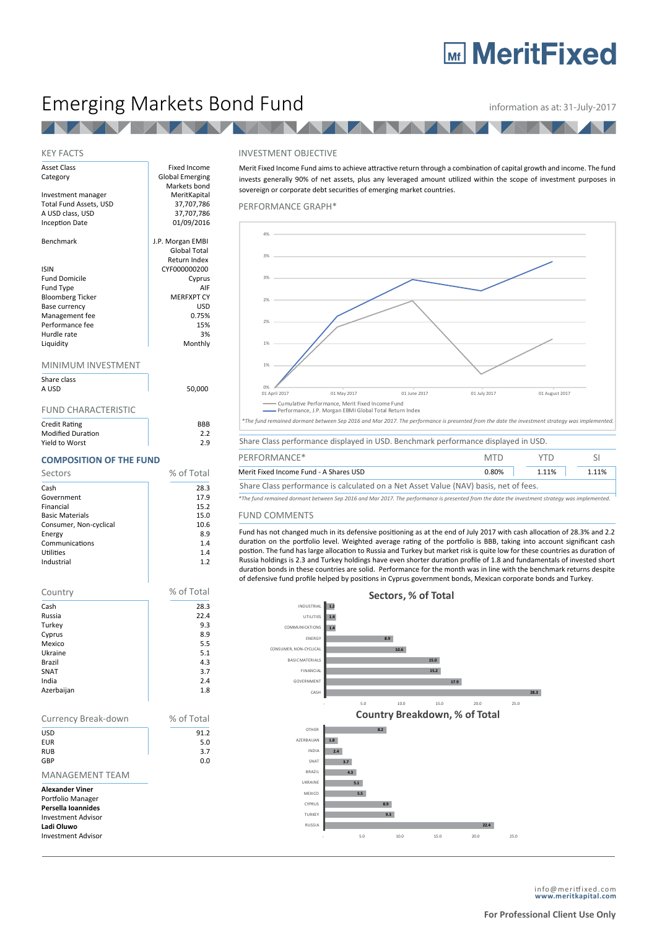# **MeritFixed**

## Emerging Markets Bond Fund **information as at: 31-July-2017**

**TANK** 

### KEY FACTS

| <b>Asset Class</b>      | <b>Fixed Income</b>    |
|-------------------------|------------------------|
| Category                | <b>Global Emerging</b> |
|                         | Markets bond           |
| Investment manager      | MeritKapital           |
| Total Fund Assets, USD  | 37,707,786             |
| A USD class, USD        | 37,707,786             |
| <b>Inception Date</b>   | 01/09/2016             |
| <b>Benchmark</b>        | J.P. Morgan EMBI       |
|                         | <b>Global Total</b>    |
|                         | Return Index           |
| <b>ISIN</b>             | CYF000000200           |
| <b>Fund Domicile</b>    | Cyprus                 |
| Fund Type               | AIF                    |
| <b>Bloomberg Ticker</b> | <b>MERFXPT CY</b>      |
| Base currency           | USD                    |
| Management fee          | 0.75%                  |
| Performance fee         | 15%                    |
| Hurdle rate             | 3%                     |
| Liquidity               | Monthly                |
| MINIMUM INVESTMENT      |                        |
| Share class             |                        |
| A USD                   | 50.000                 |

#### FUND CHARACTERISTIC

| <b>Credit Rating</b>     | <b>BRB</b> |
|--------------------------|------------|
| <b>Modified Duration</b> | 2.2        |
| Yield to Worst           | 2.9        |

#### **COMPOSITION OF THE FUND**

| Sectors                | % of Total |
|------------------------|------------|
| Cash                   | 28.3       |
| Government             | 17.9       |
| Financial              | 15.2       |
| <b>Basic Materials</b> | 15.0       |
| Consumer, Non-cyclical | 10.6       |
| Energy                 | 8.9        |
| Communications         | 1.4        |
| Utilities              | 1.4        |
| Industrial             | 1.2        |



#### INVESTMENT OBJECTIVE

Merit Fixed Income Fund aims to achieve attractive return through a combination of capital growth and income. The fund invests generally 90% of net assets, plus any leveraged amount utilized within the scope of investment purposes in sovereign or corporate debt securities of emerging market countries.

PERFORMANCE GRAPH\*



Merit Fixed Income Fund - A Shares USD 0.80% 1.11% 1.11% 1.11%

Share Class performance is calculated on a Net Asset Value (NAV) basis, net of fees.

FUND COMMENTS *\*The fund remained dormant between Sep 2016 and Mar 2017. The performance is presented from the date the investment strategy was implemented.*

Fund has not changed much in its defensive positioning as at the end of July 2017 with cash allocation of 28.3% and 2.2 duration on the portfolio level. Weighted average rating of the portfolio is BBB, taking into account significant cash postion. The fund has large allocation to Russia and Turkey but market risk is quite low for these countries as duration of Russia holdings is 2.3 and Turkey holdings have even shorter duration profile of 1.8 and fundamentals of invested short duration bonds in these countries are solid. Performance for the month was in line with the benchmark returns despite of defensive fund profile helped by positions in Cyprus government bonds, Mexican corporate bonds and Turkey.